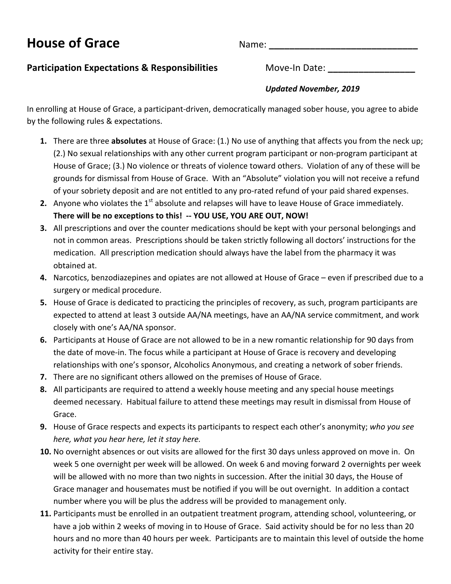# **House of Grace** Name: **\_\_\_\_\_\_\_\_\_\_\_\_\_\_\_\_\_\_\_\_\_\_\_\_\_\_\_\_\_**

## **Participation Expectations & Responsibilities** Move-In Date: \_\_\_\_\_\_\_\_\_\_\_\_\_\_\_\_\_\_\_

## *Updated November, 2019*

In enrolling at House of Grace, a participant-driven, democratically managed sober house, you agree to abide by the following rules & expectations.

- **1.** There are three **absolutes** at House of Grace: (1.) No use of anything that affects you from the neck up; (2.) No sexual relationships with any other current program participant or non-program participant at House of Grace; (3.) No violence or threats of violence toward others. Violation of any of these will be grounds for dismissal from House of Grace. With an "Absolute" violation you will not receive a refund of your sobriety deposit and are not entitled to any pro-rated refund of your paid shared expenses.
- **2.** Anyone who violates the  $1<sup>st</sup>$  absolute and relapses will have to leave House of Grace immediately. There will be no exceptions to this! -- YOU USE, YOU ARE OUT, NOW!
- **3.** All prescriptions and over the counter medications should be kept with your personal belongings and not in common areas. Prescriptions should be taken strictly following all doctors' instructions for the medication. All prescription medication should always have the label from the pharmacy it was obtained at.
- **4.** Narcotics, benzodiazepines and opiates are not allowed at House of Grace even if prescribed due to a surgery or medical procedure.
- **5.** House of Grace is dedicated to practicing the principles of recovery, as such, program participants are expected to attend at least 3 outside AA/NA meetings, have an AA/NA service commitment, and work closely with one's AA/NA sponsor.
- **6.** Participants at House of Grace are not allowed to be in a new romantic relationship for 90 days from the date of move-in. The focus while a participant at House of Grace is recovery and developing relationships with one's sponsor, Alcoholics Anonymous, and creating a network of sober friends.
- **7.** There are no significant others allowed on the premises of House of Grace.
- **8.** All participants are required to attend a weekly house meeting and any special house meetings deemed necessary. Habitual failure to attend these meetings may result in dismissal from House of Grace.
- **9.** House of Grace respects and expects its participants to respect each other's anonymity; who you see *here, what you hear here, let it stay here.*
- **10.** No overnight absences or out visits are allowed for the first 30 days unless approved on move in. On week 5 one overnight per week will be allowed. On week 6 and moving forward 2 overnights per week will be allowed with no more than two nights in succession. After the initial 30 days, the House of Grace manager and housemates must be notified if you will be out overnight. In addition a contact number where you will be plus the address will be provided to management only.
- **11.** Participants must be enrolled in an outpatient treatment program, attending school, volunteering, or have a job within 2 weeks of moving in to House of Grace. Said activity should be for no less than 20 hours and no more than 40 hours per week. Participants are to maintain this level of outside the home activity for their entire stay.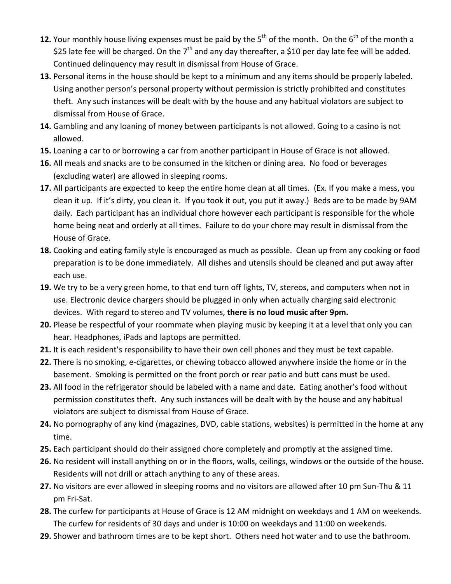- **12.** Your monthly house living expenses must be paid by the  $5<sup>th</sup>$  of the month. On the  $6<sup>th</sup>$  of the month a \$25 late fee will be charged. On the  $7<sup>th</sup>$  and any day thereafter, a \$10 per day late fee will be added. Continued delinquency may result in dismissal from House of Grace.
- **13.** Personal items in the house should be kept to a minimum and any items should be properly labeled. Using another person's personal property without permission is strictly prohibited and constitutes theft. Any such instances will be dealt with by the house and any habitual violators are subject to dismissal from House of Grace.
- **14.** Gambling and any loaning of money between participants is not allowed. Going to a casino is not allowed.
- **15.** Loaning a car to or borrowing a car from another participant in House of Grace is not allowed.
- **16.** All meals and snacks are to be consumed in the kitchen or dining area. No food or beverages (excluding water) are allowed in sleeping rooms.
- **17.** All participants are expected to keep the entire home clean at all times. (Ex. If you make a mess, you clean it up. If it's dirty, you clean it. If you took it out, you put it away.) Beds are to be made by 9AM daily. Each participant has an individual chore however each participant is responsible for the whole home being neat and orderly at all times. Failure to do your chore may result in dismissal from the House of Grace.
- **18.** Cooking and eating family style is encouraged as much as possible. Clean up from any cooking or food preparation is to be done immediately. All dishes and utensils should be cleaned and put away after each use.
- **19.** We try to be a very green home, to that end turn off lights, TV, stereos, and computers when not in use. Electronic device chargers should be plugged in only when actually charging said electronic devices. With regard to stereo and TV volumes, there is no loud music after 9pm.
- **20.** Please be respectful of your roommate when playing music by keeping it at a level that only you can hear. Headphones, iPads and laptops are permitted.
- **21.** It is each resident's responsibility to have their own cell phones and they must be text capable.
- **22.** There is no smoking, e-cigarettes, or chewing tobacco allowed anywhere inside the home or in the basement. Smoking is permitted on the front porch or rear patio and butt cans must be used.
- **23.** All food in the refrigerator should be labeled with a name and date. Eating another's food without permission constitutes theft. Any such instances will be dealt with by the house and any habitual violators are subject to dismissal from House of Grace.
- **24.** No pornography of any kind (magazines, DVD, cable stations, websites) is permitted in the home at any time.
- **25.** Each participant should do their assigned chore completely and promptly at the assigned time.
- **26.** No resident will install anything on or in the floors, walls, ceilings, windows or the outside of the house. Residents will not drill or attach anything to any of these areas.
- **27.** No visitors are ever allowed in sleeping rooms and no visitors are allowed after 10 pm Sun-Thu & 11 pm Fri-Sat.
- **28.** The curfew for participants at House of Grace is 12 AM midnight on weekdays and 1 AM on weekends. The curfew for residents of 30 days and under is 10:00 on weekdays and 11:00 on weekends.
- **29.** Shower and bathroom times are to be kept short. Others need hot water and to use the bathroom.